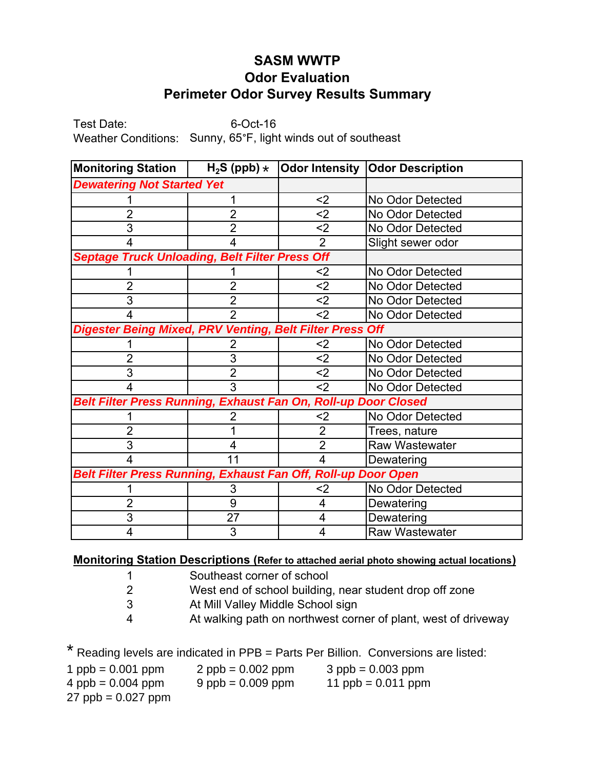## **SASM WWTP Odor Evaluation Perimeter Odor Survey Results Summary**

Test Date: 6-Oct-16 Weather Conditions: Sunny, 65°F, light winds out of southeast

| <b>Monitoring Station</b>                                      | $H_2S$ (ppb) $\star$ |                | Odor Intensity   Odor Description |  |
|----------------------------------------------------------------|----------------------|----------------|-----------------------------------|--|
| <b>Dewatering Not Started Yet</b>                              |                      |                |                                   |  |
|                                                                |                      | $2$            | No Odor Detected                  |  |
| 2                                                              | $\overline{2}$       | $2$            | No Odor Detected                  |  |
| 3                                                              | $\overline{2}$       | $2$            | No Odor Detected                  |  |
| 4                                                              | 4                    | $\overline{2}$ | Slight sewer odor                 |  |
| <b>Septage Truck Unloading, Belt Filter Press Off</b>          |                      |                |                                   |  |
|                                                                |                      | $2$            | No Odor Detected                  |  |
| 2                                                              | 2                    | $2$            | No Odor Detected                  |  |
| 3                                                              | $\overline{2}$       | $2$            | No Odor Detected                  |  |
| 4                                                              | $\overline{2}$       | $2$            | No Odor Detected                  |  |
| Digester Being Mixed, PRV Venting, Belt Filter Press Off       |                      |                |                                   |  |
|                                                                | 2                    | $2$            | No Odor Detected                  |  |
| 2                                                              | 3                    | $2$            | No Odor Detected                  |  |
| 3                                                              | $\overline{2}$       | $2$            | No Odor Detected                  |  |
| 4                                                              | 3                    | $2$            | No Odor Detected                  |  |
| Belt Filter Press Running, Exhaust Fan On, Roll-up Door Closed |                      |                |                                   |  |
|                                                                |                      | <2             | No Odor Detected                  |  |
| 2                                                              |                      | 2              | Trees, nature                     |  |
| 3                                                              | 4                    | $\overline{2}$ | <b>Raw Wastewater</b>             |  |
| 4                                                              | 11                   | 4              | Dewatering                        |  |
| Belt Filter Press Running, Exhaust Fan Off, Roll-up Door Open  |                      |                |                                   |  |
|                                                                | 3                    | $2$            | No Odor Detected                  |  |
| 2                                                              | 9                    | 4              | Dewatering                        |  |
| 3                                                              | 27                   | 4              | Dewatering                        |  |
| 4                                                              | 3                    | 4              | <b>Raw Wastewater</b>             |  |

## **Monitoring Station Descriptions (Refer to attached aerial photo showing actual locations)**

- 1 Southeast corner of school
- 2 West end of school building, near student drop off zone
- 3 At Mill Valley Middle School sign
- 4 At walking path on northwest corner of plant, west of driveway

\* Reading levels are indicated in PPB = Parts Per Billion. Conversions are listed:

| 1 ppb = $0.001$ ppm  | $2$ ppb = 0.002 ppm | $3$ ppb = 0.003 ppm  |
|----------------------|---------------------|----------------------|
| $4$ ppb = 0.004 ppm  | $9$ ppb = 0.009 ppm | 11 $ppb = 0.011$ ppm |
| $27$ ppb = 0.027 ppm |                     |                      |